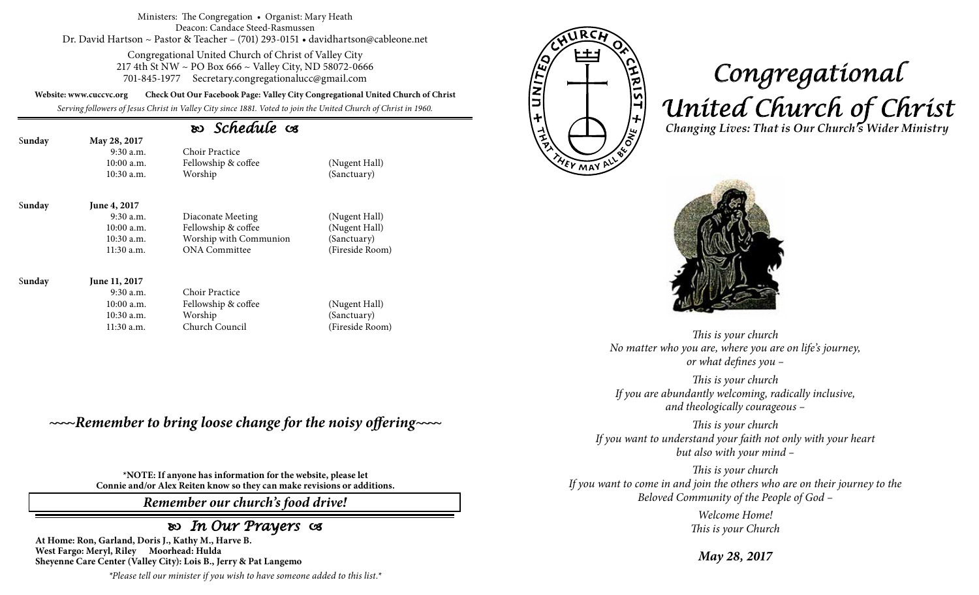#### Ministers: The Congregation • Organist: Mary Heath Deacon: Candace Steed-Rasmussen Dr. David Hartson ~ Pastor & Teacher – (701) 293-0151 • davidhartson@cableone.net

Congregational United Church of Christ of Valley City 217 4th St NW ~ PO Box 666 ~ Valley City, ND 58072-0666 701-845-1977 Secretary.congregationalucc@gmail.com

**Website: www.cuccvc.org Check Out Our Facebook Page: Valley City Congregational United Church of Christ**

*Serving followers of Jesus Christ in Valley City since 1881. Voted to join the United Church of Christ in 1960.*

## *Schedule*

| Sunday | May 28, 2017<br>$9:30$ a.m.<br>$10:00$ a.m.<br>$10:30$ a.m. | Choir Practice<br>Fellowship & coffee<br>Worship | (Nugent Hall)<br>(Sanctuary)   |
|--------|-------------------------------------------------------------|--------------------------------------------------|--------------------------------|
| Sunday | June 4, 2017<br>$9:30$ a.m.<br>10:00 a.m.                   | Diaconate Meeting<br>Fellowship & coffee         | (Nugent Hall)<br>(Nugent Hall) |

Meeting (Nugent Hall)  $\&$  coffee (Nugent Hall) 10:30 a.m. Worship with Communion (Sanctuary) 11:30 a.m. ONA Committee (Fireside Room)

### S**unday June 11, 2017**

- 9:30 a.m. Choir Practice 10:00 a.m. Fellowship & coffee (Nugent Hall) 10:30 a.m. Worship (Sanctuary) 11:30 a.m. Church Council (Fireside Room)
- 

*~~~~Remember to bring loose change for the noisy offering~~~~*

**\*NOTE: If anyone has information for the website, please let Connie and/or Alex Reiten know so they can make revisions or additions.**

*Remember our church's food drive!*

## *In Our Prayers*

**At Home: Ron, Garland, Doris J., Kathy M., Harve B. West Fargo: Meryl, Riley Moorhead: Hulda Sheyenne Care Center (Valley City): Lois B., Jerry & Pat Langemo**

*\*Please tell our minister if you wish to have someone added to this list.\**



# *Congregational United Church of Christ Changing Lives: That is Our Church's Wider Ministry*



*This is your church No matter who you are, where you are on life's journey, or what defines you –*

*This is your church If you are abundantly welcoming, radically inclusive, and theologically courageous –*

*This is your church If you want to understand your faith not only with your heart but also with your mind –*

*This is your church If you want to come in and join the others who are on their journey to the Beloved Community of the People of God –*

> *Welcome Home! This is your Church*

*May 28, 2017*